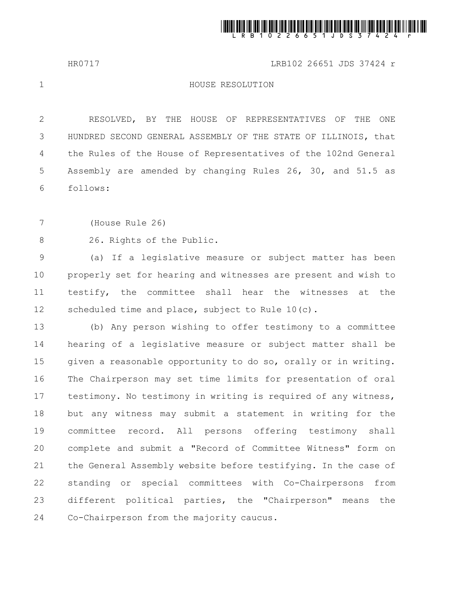

HR0717 LRB102 26651 JDS 37424 r

1

## HOUSE RESOLUTION

RESOLVED, BY THE HOUSE OF REPRESENTATIVES OF THE ONE HUNDRED SECOND GENERAL ASSEMBLY OF THE STATE OF ILLINOIS, that the Rules of the House of Representatives of the 102nd General Assembly are amended by changing Rules 26, 30, and 51.5 as follows: 2 3 4 5 6

(House Rule 26) 7

26. Rights of the Public. 8

(a) If a legislative measure or subject matter has been properly set for hearing and witnesses are present and wish to testify, the committee shall hear the witnesses at the scheduled time and place, subject to Rule 10(c). 9 10 11 12

(b) Any person wishing to offer testimony to a committee hearing of a legislative measure or subject matter shall be given a reasonable opportunity to do so, orally or in writing. The Chairperson may set time limits for presentation of oral testimony. No testimony in writing is required of any witness, but any witness may submit a statement in writing for the committee record. All persons offering testimony shall complete and submit a "Record of Committee Witness" form on the General Assembly website before testifying. In the case of standing or special committees with Co-Chairpersons from different political parties, the "Chairperson" means the Co-Chairperson from the majority caucus. 13 14 15 16 17 18 19 20 21 22 23 24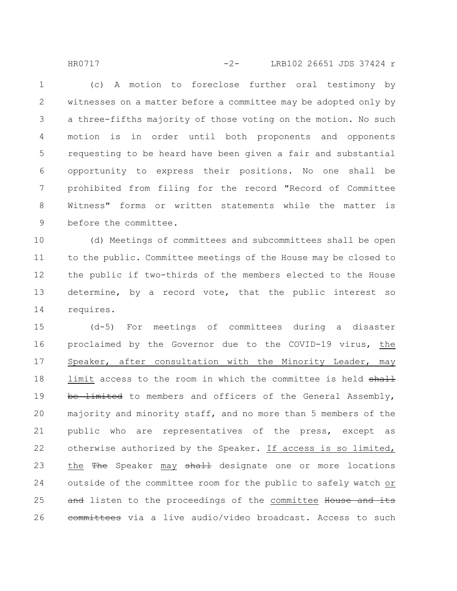(c) A motion to foreclose further oral testimony by witnesses on a matter before a committee may be adopted only by a three-fifths majority of those voting on the motion. No such motion is in order until both proponents and opponents requesting to be heard have been given a fair and substantial opportunity to express their positions. No one shall be prohibited from filing for the record "Record of Committee Witness" forms or written statements while the matter is before the committee. 1 2 3 4 5 6 7 8 9

HR0717 -2- LRB102 26651 JDS 37424 r

(d) Meetings of committees and subcommittees shall be open to the public. Committee meetings of the House may be closed to the public if two-thirds of the members elected to the House determine, by a record vote, that the public interest so requires. 10 11 12 13 14

(d-5) For meetings of committees during a disaster proclaimed by the Governor due to the COVID-19 virus, the Speaker, after consultation with the Minority Leader, may limit access to the room in which the committee is held shall be limited to members and officers of the General Assembly, majority and minority staff, and no more than 5 members of the public who are representatives of the press, except as otherwise authorized by the Speaker. If access is so limited, the The Speaker may shall designate one or more locations outside of the committee room for the public to safely watch or and listen to the proceedings of the committee House and its eommittees via a live audio/video broadcast. Access to such 15 16 17 18 19 20 21 22 23 24 25 26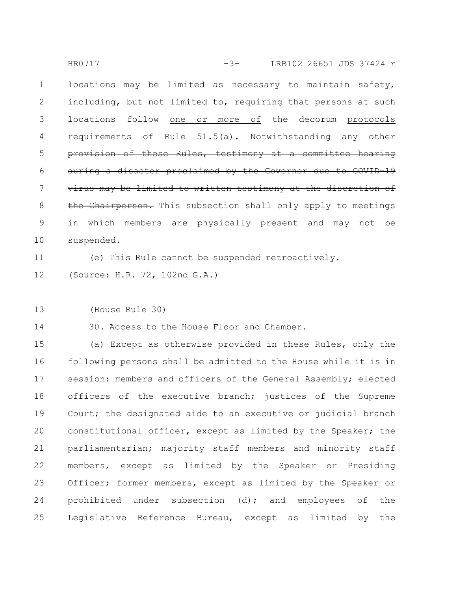locations may be limited as necessary to maintain safety, including, but not limited to, requiring that persons at such locations follow one or more of the decorum protocols  $r$ equirements of Rule  $51.5(a)$ . Notwithstanding any provision of these Rules, testimony at a committee hearing during a disaster proclaimed by the Governor due to COVID-19 virus may be limited to written testimony at the discretion of the Chairperson. This subsection shall only apply to meetings in which members are physically present and may not be suspended. 1 2 3 4 5 6 7 8 9 10 HR0717 -3- LRB102 26651 JDS 37424 r

(e) This Rule cannot be suspended retroactively. 11

(Source: H.R. 72, 102nd G.A.) 12

(House Rule 30) 13

30. Access to the House Floor and Chamber. 14

(a) Except as otherwise provided in these Rules, only the following persons shall be admitted to the House while it is in session: members and officers of the General Assembly; elected officers of the executive branch; justices of the Supreme Court; the designated aide to an executive or judicial branch constitutional officer, except as limited by the Speaker; the parliamentarian; majority staff members and minority staff members, except as limited by the Speaker or Presiding Officer; former members, except as limited by the Speaker or prohibited under subsection (d); and employees of the Legislative Reference Bureau, except as limited by the 15 16 17 18 19 20 21 22 23 24 25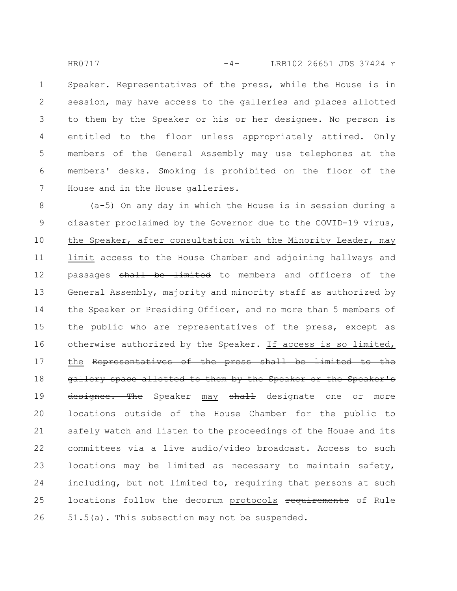Speaker. Representatives of the press, while the House is in session, may have access to the galleries and places allotted to them by the Speaker or his or her designee. No person is entitled to the floor unless appropriately attired. Only members of the General Assembly may use telephones at the members' desks. Smoking is prohibited on the floor of the House and in the House galleries. 1 2 3 4 5 6 7 HR0717 -4- LRB102 26651 JDS 37424 r

(a-5) On any day in which the House is in session during a disaster proclaimed by the Governor due to the COVID-19 virus, the Speaker, after consultation with the Minority Leader, may limit access to the House Chamber and adjoining hallways and passages shall be limited to members and officers of the General Assembly, majority and minority staff as authorized by the Speaker or Presiding Officer, and no more than 5 members of the public who are representatives of the press, except as otherwise authorized by the Speaker. If access is so limited, the Representatives of the press shall be limited to the gallery space allotted to them by the Speaker or the Speaker's designee. The Speaker may shall designate one or more locations outside of the House Chamber for the public to safely watch and listen to the proceedings of the House and its committees via a live audio/video broadcast. Access to such locations may be limited as necessary to maintain safety, including, but not limited to, requiring that persons at such locations follow the decorum protocols requirements of Rule 51.5(a). This subsection may not be suspended. 8 9 10 11 12 13 14 15 16 17 18 19 20 21 22 23 24 25 26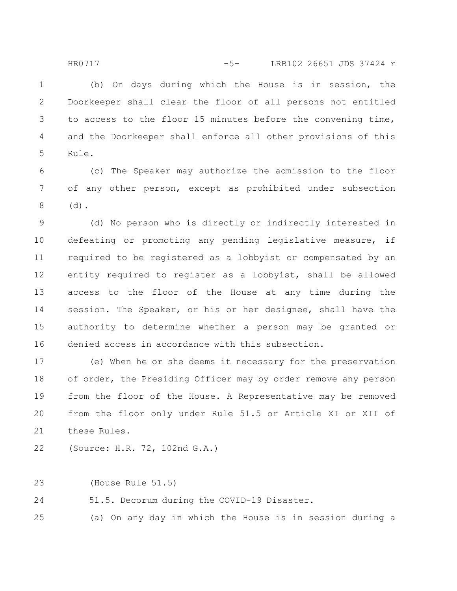(b) On days during which the House is in session, the Doorkeeper shall clear the floor of all persons not entitled to access to the floor 15 minutes before the convening time, and the Doorkeeper shall enforce all other provisions of this Rule. 1 2 3 4 5

(c) The Speaker may authorize the admission to the floor of any other person, except as prohibited under subsection (d). 6 7 8

(d) No person who is directly or indirectly interested in defeating or promoting any pending legislative measure, if required to be registered as a lobbyist or compensated by an entity required to register as a lobbyist, shall be allowed access to the floor of the House at any time during the session. The Speaker, or his or her designee, shall have the authority to determine whether a person may be granted or denied access in accordance with this subsection. 9 10 11 12 13 14 15 16

(e) When he or she deems it necessary for the preservation of order, the Presiding Officer may by order remove any person from the floor of the House. A Representative may be removed from the floor only under Rule 51.5 or Article XI or XII of these Rules. 17 18 19 20 21

(Source: H.R. 72, 102nd G.A.) 22

(House Rule 51.5) 23

51.5. Decorum during the COVID-19 Disaster. 24

(a) On any day in which the House is in session during a 25

HR0717 -5- LRB102 26651 JDS 37424 r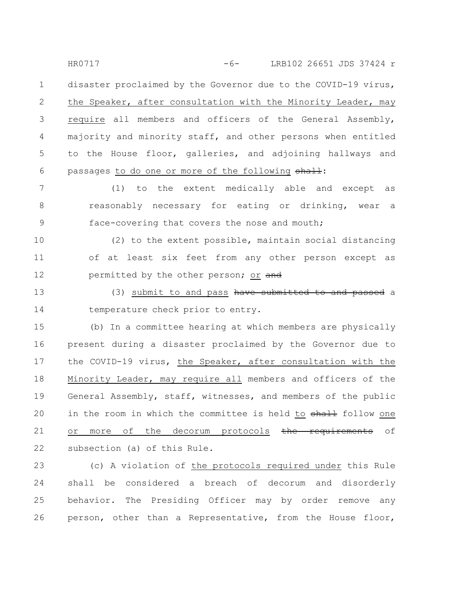disaster proclaimed by the Governor due to the COVID-19 virus, the Speaker, after consultation with the Minority Leader, may require all members and officers of the General Assembly, majority and minority staff, and other persons when entitled to the House floor, galleries, and adjoining hallways and passages to do one or more of the following shall: 1 2 3 4 5 6 HR0717 -6- LRB102 26651 JDS 37424 r

(1) to the extent medically able and except as reasonably necessary for eating or drinking, wear a face-covering that covers the nose and mouth; 7 8 9

(2) to the extent possible, maintain social distancing of at least six feet from any other person except as permitted by the other person; or and 10 11 12

(3) submit to and pass have submitted to and passed a temperature check prior to entry. 13 14

(b) In a committee hearing at which members are physically present during a disaster proclaimed by the Governor due to the COVID-19 virus, the Speaker, after consultation with the Minority Leader, may require all members and officers of the General Assembly, staff, witnesses, and members of the public in the room in which the committee is held to shall follow one or more of the decorum protocols the requirements of subsection (a) of this Rule. 15 16 17 18 19 20 21 22

(c) A violation of the protocols required under this Rule shall be considered a breach of decorum and disorderly behavior. The Presiding Officer may by order remove any person, other than a Representative, from the House floor, 23 24 25 26